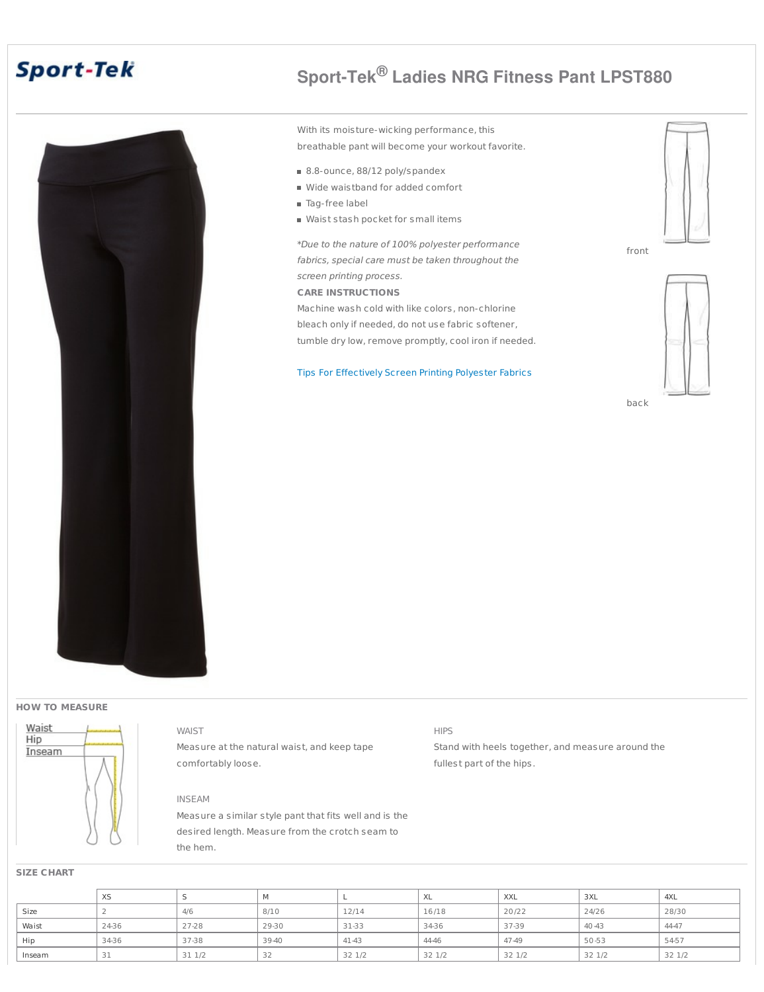# **Sport-Tek**



# **Sport-Tek® Ladies NRG Fitness Pant LPST880**

With its moisture-wicking performance, this breathable pant will become your workout favorite.

- 8.8-ounce, 88/12 poly/spandex
- Wide waistband for added comfort
- **Tag-free label**
- Waist stash pocket for small items

\*Due to the nature of 100% polyester performance fabrics, special care must be taken throughout the screen printing process.

### **CARE INSTRUCTIONS**

Machine wash cold with like colors, non-chlorine bleach only if needed, do not use fabric softener, tumble dry low, remove promptly, cool iron if needed.

Tips For [Effectively](http://www.apparelvideos.com/docs/downloads/UPDATEDTipsforEffectivelyScreenprintingPolyesterFabrics4.12.pdf) Screen Printing Polyester Fabrics



front



back

#### **HOW TO MEASURE**



WAIST Measure at the natural waist, and keep tape comfortably loose.

### INSEAM

Measure a similar style pant that fits well and is the desired length. Measure from the crotch seam to the hem.

## HIPS

Stand with heels together, and measure around the fullest part of the hips.

#### **SIZE CHART**

|        | XS    |       |       |       | XL     | <b>XXL</b> | 3XL       | 4XL    |
|--------|-------|-------|-------|-------|--------|------------|-----------|--------|
| Size   |       | 4/6   | 8/10  | 12/14 | 16/18  | 20/22      | 24/26     | 28/30  |
| Waist  | 24-36 | 27-28 | 29-30 | 31-33 | 34-36  | 37-39      | 40 - 43   | 44-47  |
| Hip    | 34-36 | 37-38 | 39-40 | 41-43 | 44-46  | 47-49      | $50 - 53$ | 54-57  |
| Inseam | 31    | 311/2 | ے د   | 321/2 | 32 1/2 | 32 1/2     | 32 1/2    | 32 1/2 |